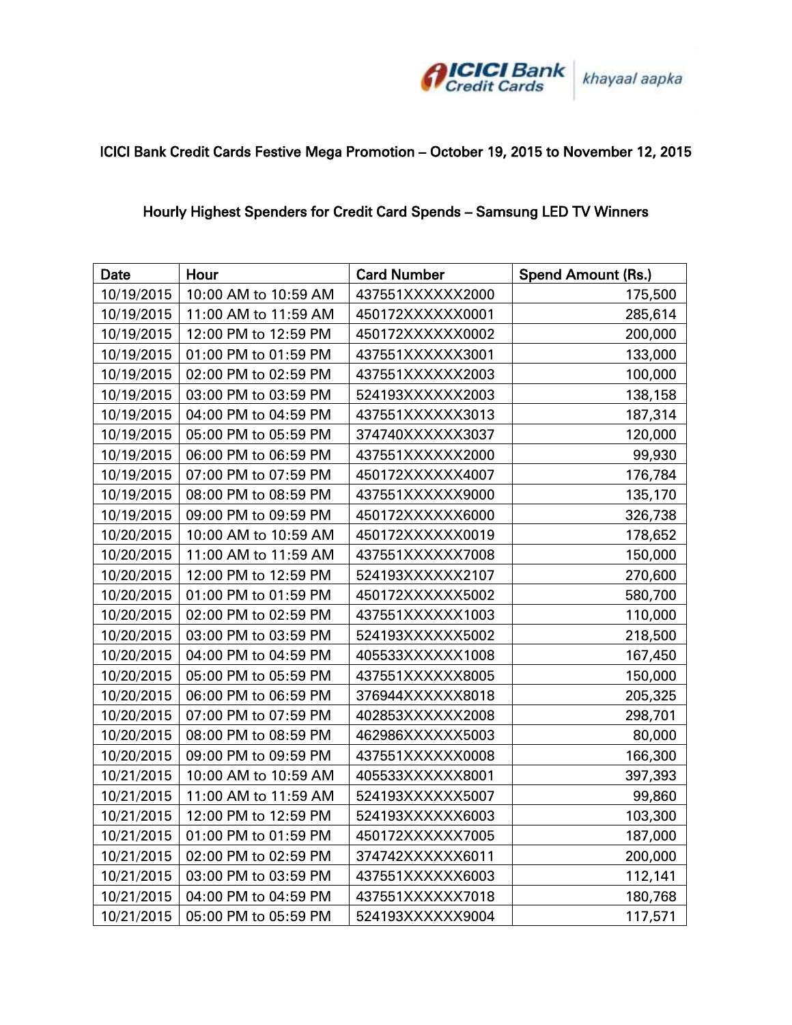

## ICICI Bank Credit Cards Festive Mega Promotion – October 19, 2015 to November 12, 2015

## Hourly Highest Spenders for Credit Card Spends – Samsung LED TV Winners

| Date       | Hour                 | <b>Card Number</b> | <b>Spend Amount (Rs.)</b> |
|------------|----------------------|--------------------|---------------------------|
| 10/19/2015 | 10:00 AM to 10:59 AM | 437551XXXXXX2000   | 175,500                   |
| 10/19/2015 | 11:00 AM to 11:59 AM | 450172XXXXXX0001   | 285,614                   |
| 10/19/2015 | 12:00 PM to 12:59 PM | 450172XXXXXX0002   | 200,000                   |
| 10/19/2015 | 01:00 PM to 01:59 PM | 437551XXXXXX3001   | 133,000                   |
| 10/19/2015 | 02:00 PM to 02:59 PM | 437551XXXXXX2003   | 100,000                   |
| 10/19/2015 | 03:00 PM to 03:59 PM | 524193XXXXXX2003   | 138,158                   |
| 10/19/2015 | 04:00 PM to 04:59 PM | 437551XXXXXX3013   | 187,314                   |
| 10/19/2015 | 05:00 PM to 05:59 PM | 374740XXXXXX3037   | 120,000                   |
| 10/19/2015 | 06:00 PM to 06:59 PM | 437551XXXXXX2000   | 99,930                    |
| 10/19/2015 | 07:00 PM to 07:59 PM | 450172XXXXXX4007   | 176,784                   |
| 10/19/2015 | 08:00 PM to 08:59 PM | 437551XXXXXX9000   | 135,170                   |
| 10/19/2015 | 09:00 PM to 09:59 PM | 450172XXXXXX6000   | 326,738                   |
| 10/20/2015 | 10:00 AM to 10:59 AM | 450172XXXXXX0019   | 178,652                   |
| 10/20/2015 | 11:00 AM to 11:59 AM | 437551XXXXXX7008   | 150,000                   |
| 10/20/2015 | 12:00 PM to 12:59 PM | 524193XXXXXX2107   | 270,600                   |
| 10/20/2015 | 01:00 PM to 01:59 PM | 450172XXXXXX5002   | 580,700                   |
| 10/20/2015 | 02:00 PM to 02:59 PM | 437551XXXXXX1003   | 110,000                   |
| 10/20/2015 | 03:00 PM to 03:59 PM | 524193XXXXXX5002   | 218,500                   |
| 10/20/2015 | 04:00 PM to 04:59 PM | 405533XXXXXX1008   | 167,450                   |
| 10/20/2015 | 05:00 PM to 05:59 PM | 437551XXXXXX8005   | 150,000                   |
| 10/20/2015 | 06:00 PM to 06:59 PM | 376944XXXXXX8018   | 205,325                   |
| 10/20/2015 | 07:00 PM to 07:59 PM | 402853XXXXXX2008   | 298,701                   |
| 10/20/2015 | 08:00 PM to 08:59 PM | 462986XXXXXX5003   | 80,000                    |
| 10/20/2015 | 09:00 PM to 09:59 PM | 437551XXXXXX0008   | 166,300                   |
| 10/21/2015 | 10:00 AM to 10:59 AM | 405533XXXXXX8001   | 397,393                   |
| 10/21/2015 | 11:00 AM to 11:59 AM | 524193XXXXXX5007   | 99,860                    |
| 10/21/2015 | 12:00 PM to 12:59 PM | 524193XXXXXX6003   | 103,300                   |
| 10/21/2015 | 01:00 PM to 01:59 PM | 450172XXXXXX7005   | 187,000                   |
| 10/21/2015 | 02:00 PM to 02:59 PM | 374742XXXXXX6011   | 200,000                   |
| 10/21/2015 | 03:00 PM to 03:59 PM | 437551XXXXXX6003   | 112,141                   |
| 10/21/2015 | 04:00 PM to 04:59 PM | 437551XXXXXX7018   | 180,768                   |
| 10/21/2015 | 05:00 PM to 05:59 PM | 524193XXXXXX9004   | 117,571                   |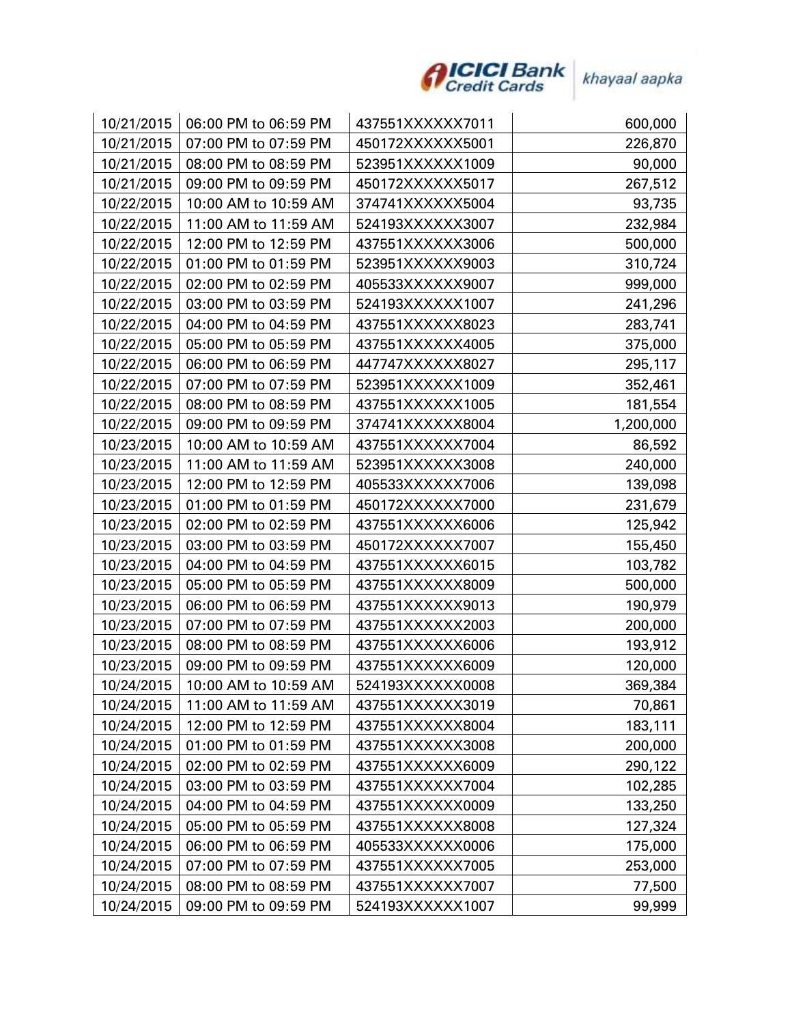

| 10/21/2015 | 06:00 PM to 06:59 PM | 437551XXXXXX7011 | 600,000   |
|------------|----------------------|------------------|-----------|
| 10/21/2015 | 07:00 PM to 07:59 PM | 450172XXXXXX5001 | 226,870   |
| 10/21/2015 | 08:00 PM to 08:59 PM | 523951XXXXXX1009 | 90,000    |
| 10/21/2015 | 09:00 PM to 09:59 PM | 450172XXXXXX5017 | 267,512   |
| 10/22/2015 | 10:00 AM to 10:59 AM | 374741XXXXXX5004 | 93,735    |
| 10/22/2015 | 11:00 AM to 11:59 AM | 524193XXXXXX3007 | 232,984   |
| 10/22/2015 | 12:00 PM to 12:59 PM | 437551XXXXXX3006 | 500,000   |
| 10/22/2015 | 01:00 PM to 01:59 PM | 523951XXXXXX9003 | 310,724   |
| 10/22/2015 | 02:00 PM to 02:59 PM | 405533XXXXXX9007 | 999,000   |
| 10/22/2015 | 03:00 PM to 03:59 PM | 524193XXXXXX1007 | 241,296   |
| 10/22/2015 | 04:00 PM to 04:59 PM | 437551XXXXXX8023 | 283,741   |
| 10/22/2015 | 05:00 PM to 05:59 PM | 437551XXXXXX4005 | 375,000   |
| 10/22/2015 | 06:00 PM to 06:59 PM | 447747XXXXXX8027 | 295,117   |
| 10/22/2015 | 07:00 PM to 07:59 PM | 523951XXXXXX1009 | 352,461   |
| 10/22/2015 | 08:00 PM to 08:59 PM | 437551XXXXXX1005 | 181,554   |
| 10/22/2015 | 09:00 PM to 09:59 PM | 374741XXXXXX8004 | 1,200,000 |
| 10/23/2015 | 10:00 AM to 10:59 AM | 437551XXXXXX7004 | 86,592    |
| 10/23/2015 | 11:00 AM to 11:59 AM | 523951XXXXXX3008 | 240,000   |
| 10/23/2015 | 12:00 PM to 12:59 PM | 405533XXXXXX7006 | 139,098   |
| 10/23/2015 | 01:00 PM to 01:59 PM | 450172XXXXXX7000 | 231,679   |
| 10/23/2015 | 02:00 PM to 02:59 PM | 437551XXXXXX6006 | 125,942   |
| 10/23/2015 | 03:00 PM to 03:59 PM | 450172XXXXXX7007 | 155,450   |
| 10/23/2015 | 04:00 PM to 04:59 PM | 437551XXXXXX6015 | 103,782   |
| 10/23/2015 | 05:00 PM to 05:59 PM | 437551XXXXXX8009 | 500,000   |
| 10/23/2015 | 06:00 PM to 06:59 PM | 437551XXXXXX9013 | 190,979   |
| 10/23/2015 | 07:00 PM to 07:59 PM | 437551XXXXXX2003 | 200,000   |
| 10/23/2015 | 08:00 PM to 08:59 PM | 437551XXXXXX6006 | 193,912   |
| 10/23/2015 | 09:00 PM to 09:59 PM | 437551XXXXXX6009 | 120,000   |
| 10/24/2015 | 10:00 AM to 10:59 AM | 524193XXXXXX0008 | 369,384   |
| 10/24/2015 | 11:00 AM to 11:59 AM | 437551XXXXXX3019 | 70,861    |
| 10/24/2015 | 12:00 PM to 12:59 PM | 437551XXXXXX8004 | 183,111   |
| 10/24/2015 | 01:00 PM to 01:59 PM | 437551XXXXXX3008 | 200,000   |
| 10/24/2015 | 02:00 PM to 02:59 PM | 437551XXXXXX6009 | 290,122   |
| 10/24/2015 | 03:00 PM to 03:59 PM | 437551XXXXXX7004 | 102,285   |
| 10/24/2015 | 04:00 PM to 04:59 PM | 437551XXXXXX0009 | 133,250   |
| 10/24/2015 | 05:00 PM to 05:59 PM | 437551XXXXXX8008 | 127,324   |
| 10/24/2015 | 06:00 PM to 06:59 PM | 405533XXXXXX0006 | 175,000   |
| 10/24/2015 | 07:00 PM to 07:59 PM | 437551XXXXXX7005 | 253,000   |
| 10/24/2015 | 08:00 PM to 08:59 PM | 437551XXXXXX7007 | 77,500    |
| 10/24/2015 | 09:00 PM to 09:59 PM | 524193XXXXXX1007 | 99,999    |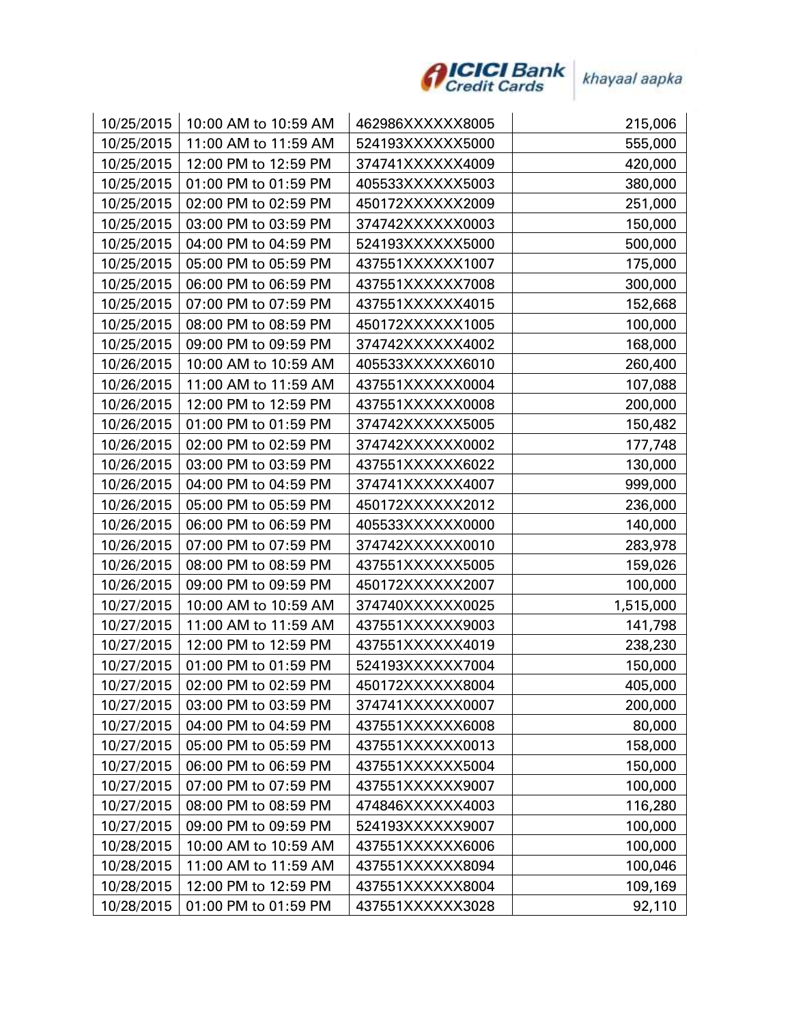

| 10/25/2015 | 10:00 AM to 10:59 AM | 462986XXXXXX8005 | 215,006   |
|------------|----------------------|------------------|-----------|
| 10/25/2015 | 11:00 AM to 11:59 AM | 524193XXXXXX5000 | 555,000   |
| 10/25/2015 | 12:00 PM to 12:59 PM | 374741XXXXXX4009 | 420,000   |
| 10/25/2015 | 01:00 PM to 01:59 PM | 405533XXXXXX5003 | 380,000   |
| 10/25/2015 | 02:00 PM to 02:59 PM | 450172XXXXXX2009 | 251,000   |
| 10/25/2015 | 03:00 PM to 03:59 PM | 374742XXXXXX0003 | 150,000   |
| 10/25/2015 | 04:00 PM to 04:59 PM | 524193XXXXXX5000 | 500,000   |
| 10/25/2015 | 05:00 PM to 05:59 PM | 437551XXXXXX1007 | 175,000   |
| 10/25/2015 | 06:00 PM to 06:59 PM | 437551XXXXXX7008 | 300,000   |
| 10/25/2015 | 07:00 PM to 07:59 PM | 437551XXXXXX4015 | 152,668   |
| 10/25/2015 | 08:00 PM to 08:59 PM | 450172XXXXXX1005 | 100,000   |
| 10/25/2015 | 09:00 PM to 09:59 PM | 374742XXXXXX4002 | 168,000   |
| 10/26/2015 | 10:00 AM to 10:59 AM | 405533XXXXXX6010 | 260,400   |
| 10/26/2015 | 11:00 AM to 11:59 AM | 437551XXXXXX0004 | 107,088   |
| 10/26/2015 | 12:00 PM to 12:59 PM | 437551XXXXXX0008 | 200,000   |
| 10/26/2015 | 01:00 PM to 01:59 PM | 374742XXXXXX5005 | 150,482   |
| 10/26/2015 | 02:00 PM to 02:59 PM | 374742XXXXXX0002 | 177,748   |
| 10/26/2015 | 03:00 PM to 03:59 PM | 437551XXXXXX6022 | 130,000   |
| 10/26/2015 | 04:00 PM to 04:59 PM | 374741XXXXXX4007 | 999,000   |
| 10/26/2015 | 05:00 PM to 05:59 PM | 450172XXXXXX2012 | 236,000   |
| 10/26/2015 | 06:00 PM to 06:59 PM | 405533XXXXXX0000 | 140,000   |
| 10/26/2015 | 07:00 PM to 07:59 PM | 374742XXXXXX0010 | 283,978   |
| 10/26/2015 | 08:00 PM to 08:59 PM | 437551XXXXXX5005 | 159,026   |
| 10/26/2015 | 09:00 PM to 09:59 PM | 450172XXXXXX2007 | 100,000   |
| 10/27/2015 | 10:00 AM to 10:59 AM | 374740XXXXXX0025 | 1,515,000 |
| 10/27/2015 | 11:00 AM to 11:59 AM | 437551XXXXXX9003 | 141,798   |
| 10/27/2015 | 12:00 PM to 12:59 PM | 437551XXXXXX4019 | 238,230   |
| 10/27/2015 | 01:00 PM to 01:59 PM | 524193XXXXXX7004 | 150,000   |
| 10/27/2015 | 02:00 PM to 02:59 PM | 450172XXXXXX8004 | 405,000   |
| 10/27/2015 | 03:00 PM to 03:59 PM | 374741XXXXXX0007 | 200,000   |
| 10/27/2015 | 04:00 PM to 04:59 PM | 437551XXXXXX6008 | 80,000    |
| 10/27/2015 | 05:00 PM to 05:59 PM | 437551XXXXXX0013 | 158,000   |
| 10/27/2015 | 06:00 PM to 06:59 PM | 437551XXXXXX5004 | 150,000   |
| 10/27/2015 | 07:00 PM to 07:59 PM | 437551XXXXXX9007 | 100,000   |
| 10/27/2015 | 08:00 PM to 08:59 PM | 474846XXXXXX4003 | 116,280   |
| 10/27/2015 | 09:00 PM to 09:59 PM | 524193XXXXXX9007 | 100,000   |
| 10/28/2015 | 10:00 AM to 10:59 AM | 437551XXXXXX6006 | 100,000   |
| 10/28/2015 | 11:00 AM to 11:59 AM | 437551XXXXXX8094 | 100,046   |
| 10/28/2015 | 12:00 PM to 12:59 PM | 437551XXXXXX8004 | 109,169   |
| 10/28/2015 | 01:00 PM to 01:59 PM | 437551XXXXXX3028 | 92,110    |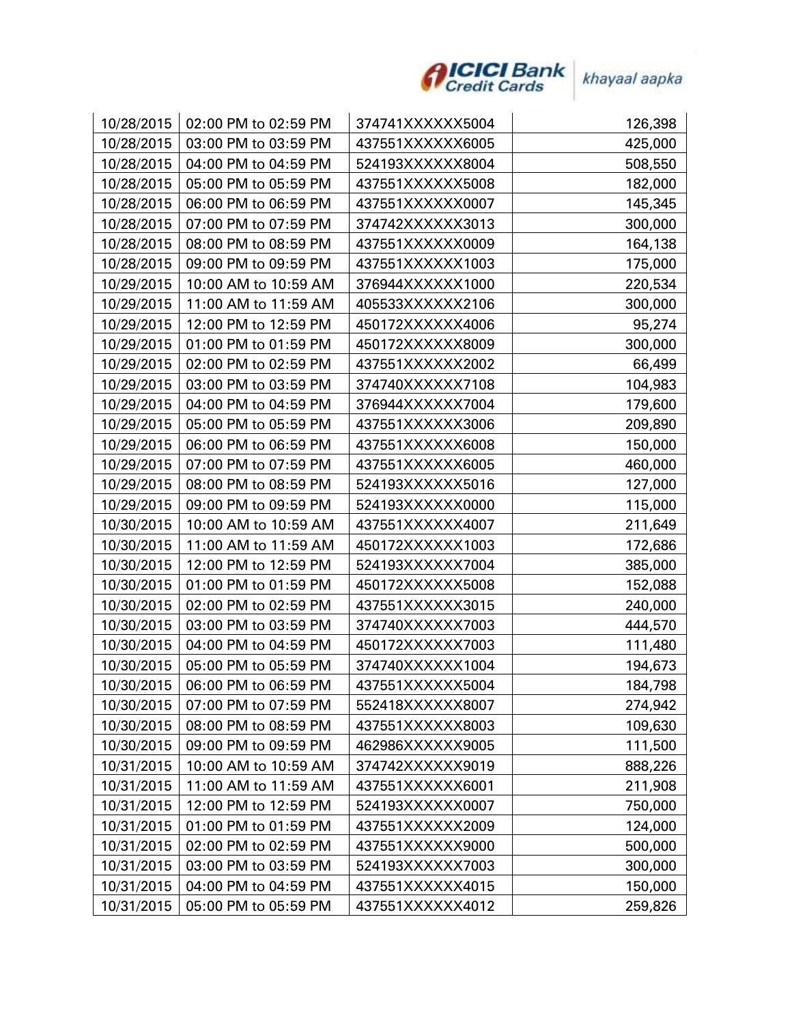

| 10/28/2015 | 02:00 PM to 02:59 PM | 374741XXXXXX5004 | 126,398 |
|------------|----------------------|------------------|---------|
| 10/28/2015 | 03:00 PM to 03:59 PM | 437551XXXXXX6005 | 425,000 |
| 10/28/2015 | 04:00 PM to 04:59 PM | 524193XXXXXX8004 | 508,550 |
| 10/28/2015 | 05:00 PM to 05:59 PM | 437551XXXXXX5008 | 182,000 |
| 10/28/2015 | 06:00 PM to 06:59 PM | 437551XXXXXX0007 | 145,345 |
| 10/28/2015 | 07:00 PM to 07:59 PM | 374742XXXXXX3013 | 300,000 |
| 10/28/2015 | 08:00 PM to 08:59 PM | 437551XXXXXX0009 | 164,138 |
| 10/28/2015 | 09:00 PM to 09:59 PM | 437551XXXXXX1003 | 175,000 |
| 10/29/2015 | 10:00 AM to 10:59 AM | 376944XXXXXX1000 | 220,534 |
| 10/29/2015 | 11:00 AM to 11:59 AM | 405533XXXXXX2106 | 300,000 |
| 10/29/2015 | 12:00 PM to 12:59 PM | 450172XXXXXX4006 | 95,274  |
| 10/29/2015 | 01:00 PM to 01:59 PM | 450172XXXXXX8009 | 300,000 |
| 10/29/2015 | 02:00 PM to 02:59 PM | 437551XXXXXX2002 | 66,499  |
| 10/29/2015 | 03:00 PM to 03:59 PM | 374740XXXXXX7108 | 104,983 |
| 10/29/2015 | 04:00 PM to 04:59 PM | 376944XXXXXX7004 | 179,600 |
| 10/29/2015 | 05:00 PM to 05:59 PM | 437551XXXXXX3006 | 209,890 |
| 10/29/2015 | 06:00 PM to 06:59 PM | 437551XXXXXX6008 | 150,000 |
| 10/29/2015 | 07:00 PM to 07:59 PM | 437551XXXXXX6005 | 460,000 |
| 10/29/2015 | 08:00 PM to 08:59 PM | 524193XXXXXX5016 | 127,000 |
| 10/29/2015 | 09:00 PM to 09:59 PM | 524193XXXXXX0000 | 115,000 |
| 10/30/2015 | 10:00 AM to 10:59 AM | 437551XXXXXX4007 | 211,649 |
| 10/30/2015 | 11:00 AM to 11:59 AM | 450172XXXXXX1003 | 172,686 |
| 10/30/2015 | 12:00 PM to 12:59 PM | 524193XXXXXX7004 | 385,000 |
| 10/30/2015 | 01:00 PM to 01:59 PM | 450172XXXXXX5008 | 152,088 |
| 10/30/2015 | 02:00 PM to 02:59 PM | 437551XXXXXX3015 | 240,000 |
| 10/30/2015 | 03:00 PM to 03:59 PM | 374740XXXXXX7003 | 444,570 |
| 10/30/2015 | 04:00 PM to 04:59 PM | 450172XXXXXX7003 | 111,480 |
| 10/30/2015 | 05:00 PM to 05:59 PM | 374740XXXXXX1004 | 194,673 |
| 10/30/2015 | 06:00 PM to 06:59 PM | 437551XXXXXX5004 | 184,798 |
| 10/30/2015 | 07:00 PM to 07:59 PM | 552418XXXXXX8007 | 274,942 |
| 10/30/2015 | 08:00 PM to 08:59 PM | 437551XXXXXX8003 | 109,630 |
| 10/30/2015 | 09:00 PM to 09:59 PM | 462986XXXXXX9005 | 111,500 |
| 10/31/2015 | 10:00 AM to 10:59 AM | 374742XXXXXX9019 | 888,226 |
| 10/31/2015 | 11:00 AM to 11:59 AM | 437551XXXXXX6001 | 211,908 |
| 10/31/2015 | 12:00 PM to 12:59 PM | 524193XXXXXX0007 | 750,000 |
| 10/31/2015 | 01:00 PM to 01:59 PM | 437551XXXXXX2009 | 124,000 |
| 10/31/2015 | 02:00 PM to 02:59 PM | 437551XXXXXX9000 | 500,000 |
| 10/31/2015 | 03:00 PM to 03:59 PM | 524193XXXXXX7003 | 300,000 |
| 10/31/2015 | 04:00 PM to 04:59 PM | 437551XXXXXX4015 | 150,000 |
| 10/31/2015 | 05:00 PM to 05:59 PM | 437551XXXXXX4012 | 259,826 |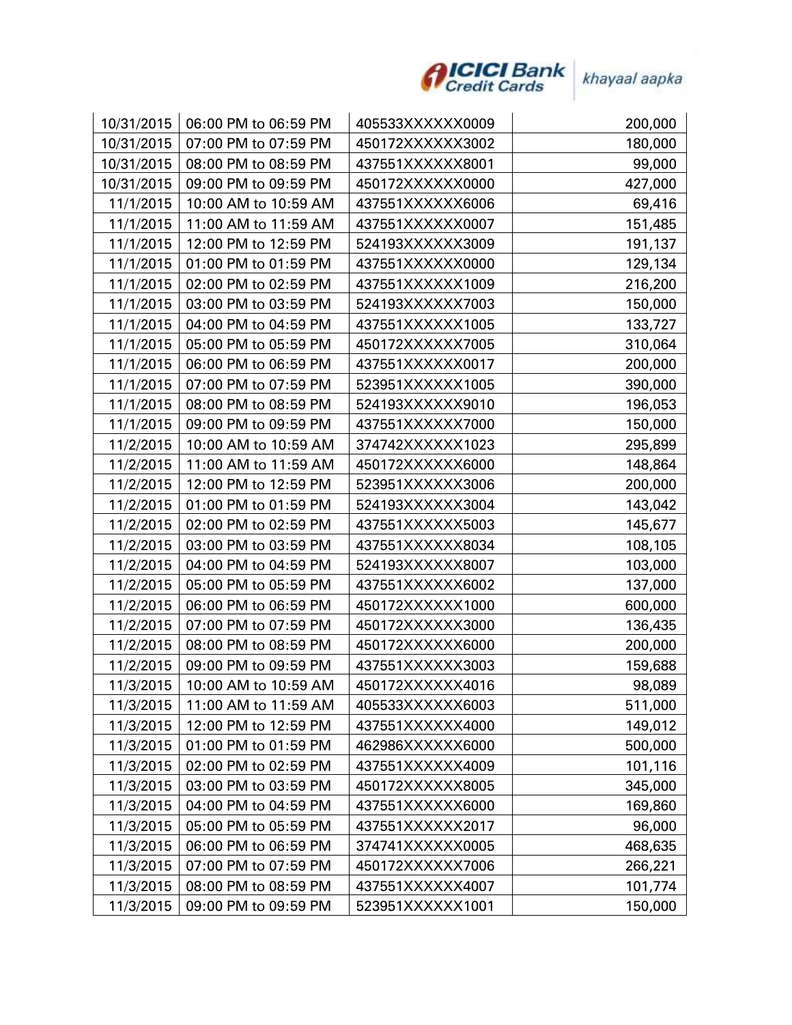

| 10/31/2015 | 06:00 PM to 06:59 PM | 405533XXXXXX0009 | 200,000 |
|------------|----------------------|------------------|---------|
| 10/31/2015 | 07:00 PM to 07:59 PM | 450172XXXXXX3002 | 180,000 |
| 10/31/2015 | 08:00 PM to 08:59 PM | 437551XXXXXX8001 | 99,000  |
| 10/31/2015 | 09:00 PM to 09:59 PM | 450172XXXXXX0000 | 427,000 |
| 11/1/2015  | 10:00 AM to 10:59 AM | 437551XXXXXX6006 | 69,416  |
| 11/1/2015  | 11:00 AM to 11:59 AM | 437551XXXXXX0007 | 151,485 |
| 11/1/2015  | 12:00 PM to 12:59 PM | 524193XXXXXX3009 | 191,137 |
| 11/1/2015  | 01:00 PM to 01:59 PM | 437551XXXXXX0000 | 129,134 |
| 11/1/2015  | 02:00 PM to 02:59 PM | 437551XXXXXX1009 | 216,200 |
| 11/1/2015  | 03:00 PM to 03:59 PM | 524193XXXXXX7003 | 150,000 |
| 11/1/2015  | 04:00 PM to 04:59 PM | 437551XXXXXX1005 | 133,727 |
| 11/1/2015  | 05:00 PM to 05:59 PM | 450172XXXXXX7005 | 310,064 |
| 11/1/2015  | 06:00 PM to 06:59 PM | 437551XXXXXX0017 | 200,000 |
| 11/1/2015  | 07:00 PM to 07:59 PM | 523951XXXXXX1005 | 390,000 |
| 11/1/2015  | 08:00 PM to 08:59 PM | 524193XXXXXX9010 | 196,053 |
| 11/1/2015  | 09:00 PM to 09:59 PM | 437551XXXXXX7000 | 150,000 |
| 11/2/2015  | 10:00 AM to 10:59 AM | 374742XXXXXX1023 | 295,899 |
| 11/2/2015  | 11:00 AM to 11:59 AM | 450172XXXXXX6000 | 148,864 |
| 11/2/2015  | 12:00 PM to 12:59 PM | 523951XXXXXX3006 | 200,000 |
| 11/2/2015  | 01:00 PM to 01:59 PM | 524193XXXXXX3004 | 143,042 |
| 11/2/2015  | 02:00 PM to 02:59 PM | 437551XXXXXX5003 | 145,677 |
| 11/2/2015  | 03:00 PM to 03:59 PM | 437551XXXXXX8034 | 108,105 |
| 11/2/2015  | 04:00 PM to 04:59 PM | 524193XXXXXX8007 | 103,000 |
| 11/2/2015  | 05:00 PM to 05:59 PM | 437551XXXXXX6002 | 137,000 |
| 11/2/2015  | 06:00 PM to 06:59 PM | 450172XXXXXX1000 | 600,000 |
| 11/2/2015  | 07:00 PM to 07:59 PM | 450172XXXXXX3000 | 136,435 |
| 11/2/2015  | 08:00 PM to 08:59 PM | 450172XXXXXX6000 | 200,000 |
| 11/2/2015  | 09:00 PM to 09:59 PM | 437551XXXXXX3003 | 159,688 |
| 11/3/2015  | 10:00 AM to 10:59 AM | 450172XXXXXX4016 | 98,089  |
| 11/3/2015  | 11:00 AM to 11:59 AM | 405533XXXXXX6003 | 511,000 |
| 11/3/2015  | 12:00 PM to 12:59 PM | 437551XXXXXX4000 | 149,012 |
| 11/3/2015  | 01:00 PM to 01:59 PM | 462986XXXXXX6000 | 500,000 |
| 11/3/2015  | 02:00 PM to 02:59 PM | 437551XXXXXX4009 | 101,116 |
| 11/3/2015  | 03:00 PM to 03:59 PM | 450172XXXXXX8005 | 345,000 |
| 11/3/2015  | 04:00 PM to 04:59 PM | 437551XXXXXX6000 | 169,860 |
| 11/3/2015  | 05:00 PM to 05:59 PM | 437551XXXXXX2017 | 96,000  |
| 11/3/2015  | 06:00 PM to 06:59 PM | 374741XXXXXX0005 | 468,635 |
| 11/3/2015  | 07:00 PM to 07:59 PM | 450172XXXXXX7006 | 266,221 |
| 11/3/2015  | 08:00 PM to 08:59 PM | 437551XXXXXX4007 | 101,774 |
| 11/3/2015  | 09:00 PM to 09:59 PM | 523951XXXXXX1001 | 150,000 |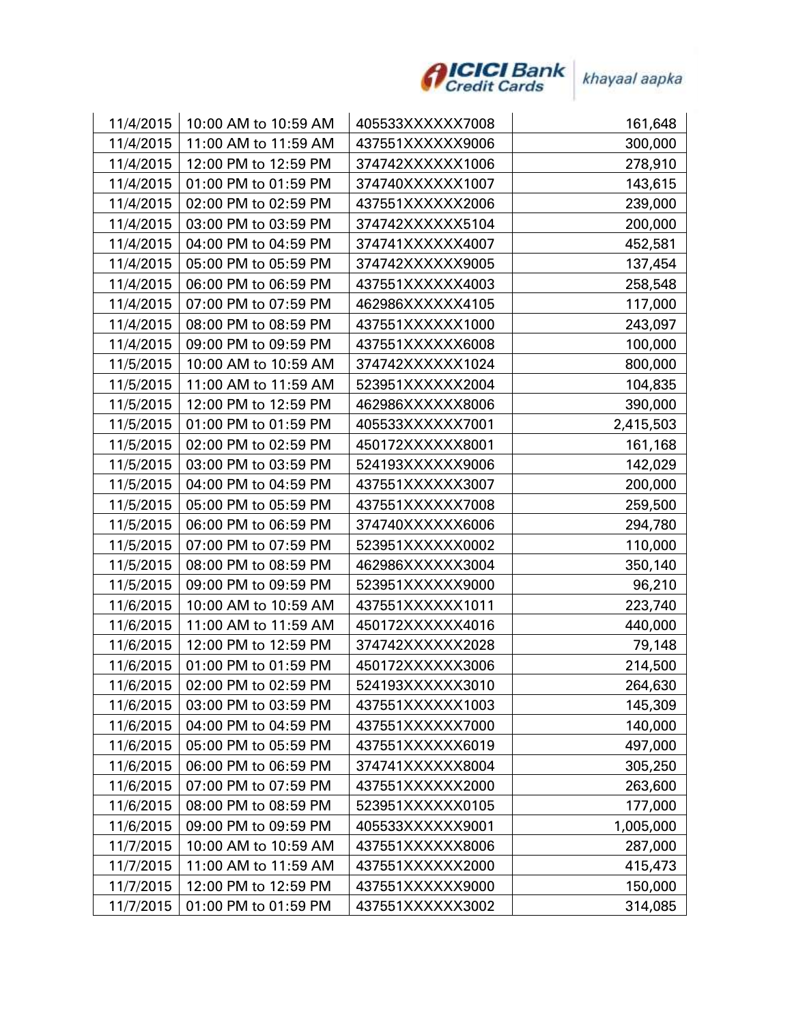

| 11/4/2015 | 10:00 AM to 10:59 AM | 405533XXXXXX7008 | 161,648   |
|-----------|----------------------|------------------|-----------|
| 11/4/2015 | 11:00 AM to 11:59 AM | 437551XXXXXX9006 | 300,000   |
| 11/4/2015 | 12:00 PM to 12:59 PM | 374742XXXXXX1006 | 278,910   |
| 11/4/2015 | 01:00 PM to 01:59 PM | 374740XXXXXX1007 | 143,615   |
| 11/4/2015 | 02:00 PM to 02:59 PM | 437551XXXXXX2006 | 239,000   |
| 11/4/2015 | 03:00 PM to 03:59 PM | 374742XXXXXX5104 | 200,000   |
| 11/4/2015 | 04:00 PM to 04:59 PM | 374741XXXXXX4007 | 452,581   |
| 11/4/2015 | 05:00 PM to 05:59 PM | 374742XXXXXX9005 | 137,454   |
| 11/4/2015 | 06:00 PM to 06:59 PM | 437551XXXXXX4003 | 258,548   |
| 11/4/2015 | 07:00 PM to 07:59 PM | 462986XXXXXX4105 | 117,000   |
| 11/4/2015 | 08:00 PM to 08:59 PM | 437551XXXXXX1000 | 243,097   |
| 11/4/2015 | 09:00 PM to 09:59 PM | 437551XXXXXX6008 | 100,000   |
| 11/5/2015 | 10:00 AM to 10:59 AM | 374742XXXXXX1024 | 800,000   |
| 11/5/2015 | 11:00 AM to 11:59 AM | 523951XXXXXX2004 | 104,835   |
| 11/5/2015 | 12:00 PM to 12:59 PM | 462986XXXXXX8006 | 390,000   |
| 11/5/2015 | 01:00 PM to 01:59 PM | 405533XXXXXX7001 | 2,415,503 |
| 11/5/2015 | 02:00 PM to 02:59 PM | 450172XXXXXX8001 | 161,168   |
| 11/5/2015 | 03:00 PM to 03:59 PM | 524193XXXXXX9006 | 142,029   |
| 11/5/2015 | 04:00 PM to 04:59 PM | 437551XXXXXX3007 | 200,000   |
| 11/5/2015 | 05:00 PM to 05:59 PM | 437551XXXXXX7008 | 259,500   |
| 11/5/2015 | 06:00 PM to 06:59 PM | 374740XXXXXX6006 | 294,780   |
| 11/5/2015 | 07:00 PM to 07:59 PM | 523951XXXXXX0002 | 110,000   |
| 11/5/2015 | 08:00 PM to 08:59 PM | 462986XXXXXX3004 | 350,140   |
| 11/5/2015 | 09:00 PM to 09:59 PM | 523951XXXXXX9000 | 96,210    |
| 11/6/2015 | 10:00 AM to 10:59 AM | 437551XXXXXX1011 | 223,740   |
| 11/6/2015 | 11:00 AM to 11:59 AM | 450172XXXXXX4016 | 440,000   |
| 11/6/2015 | 12:00 PM to 12:59 PM | 374742XXXXXX2028 | 79,148    |
| 11/6/2015 | 01:00 PM to 01:59 PM | 450172XXXXXX3006 | 214,500   |
| 11/6/2015 | 02:00 PM to 02:59 PM | 524193XXXXXX3010 | 264,630   |
| 11/6/2015 | 03:00 PM to 03:59 PM | 437551XXXXXX1003 | 145,309   |
| 11/6/2015 | 04:00 PM to 04:59 PM | 437551XXXXXX7000 | 140,000   |
| 11/6/2015 | 05:00 PM to 05:59 PM | 437551XXXXXX6019 | 497,000   |
| 11/6/2015 | 06:00 PM to 06:59 PM | 374741XXXXXX8004 | 305,250   |
| 11/6/2015 | 07:00 PM to 07:59 PM | 437551XXXXXX2000 | 263,600   |
| 11/6/2015 | 08:00 PM to 08:59 PM | 523951XXXXXX0105 | 177,000   |
| 11/6/2015 | 09:00 PM to 09:59 PM | 405533XXXXXX9001 | 1,005,000 |
| 11/7/2015 | 10:00 AM to 10:59 AM | 437551XXXXXX8006 | 287,000   |
| 11/7/2015 | 11:00 AM to 11:59 AM | 437551XXXXXX2000 | 415,473   |
| 11/7/2015 | 12:00 PM to 12:59 PM | 437551XXXXXX9000 | 150,000   |
| 11/7/2015 | 01:00 PM to 01:59 PM | 437551XXXXXX3002 | 314,085   |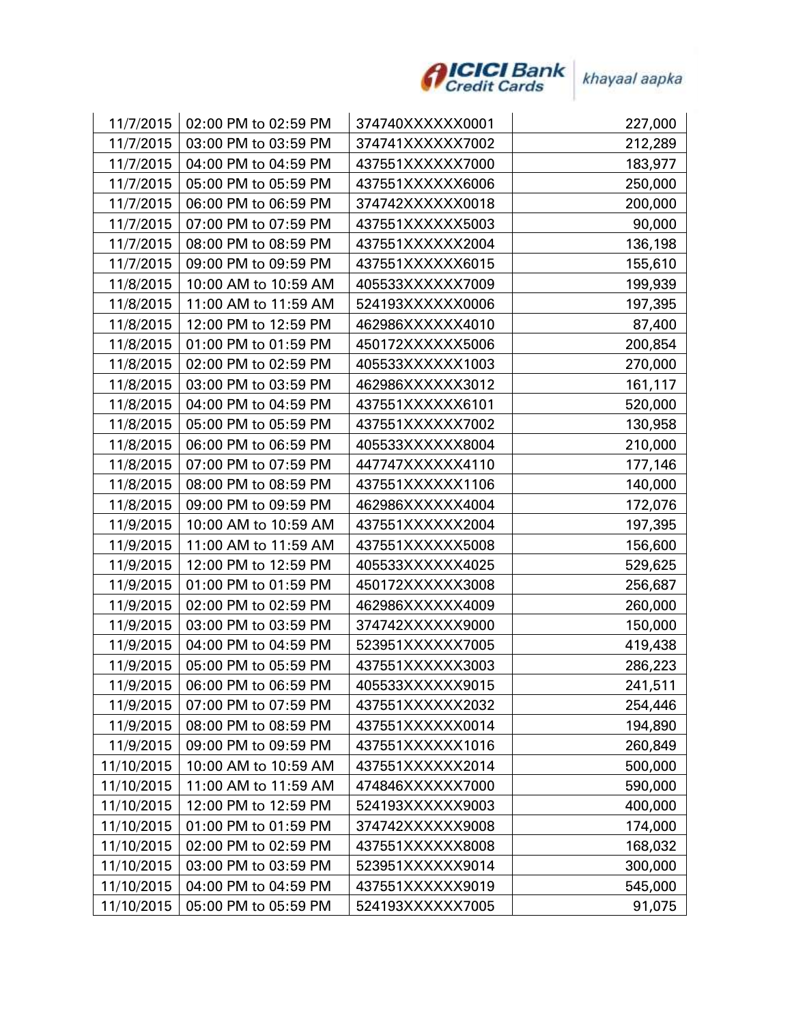

| 11/7/2015  | 02:00 PM to 02:59 PM | 374740XXXXXX0001 | 227,000 |
|------------|----------------------|------------------|---------|
| 11/7/2015  | 03:00 PM to 03:59 PM | 374741XXXXXX7002 | 212,289 |
| 11/7/2015  | 04:00 PM to 04:59 PM | 437551XXXXXX7000 | 183,977 |
| 11/7/2015  | 05:00 PM to 05:59 PM | 437551XXXXXX6006 | 250,000 |
| 11/7/2015  | 06:00 PM to 06:59 PM | 374742XXXXXX0018 | 200,000 |
| 11/7/2015  | 07:00 PM to 07:59 PM | 437551XXXXXX5003 | 90,000  |
| 11/7/2015  | 08:00 PM to 08:59 PM | 437551XXXXXX2004 | 136,198 |
| 11/7/2015  | 09:00 PM to 09:59 PM | 437551XXXXXX6015 | 155,610 |
| 11/8/2015  | 10:00 AM to 10:59 AM | 405533XXXXXX7009 | 199,939 |
| 11/8/2015  | 11:00 AM to 11:59 AM | 524193XXXXXX0006 | 197,395 |
| 11/8/2015  | 12:00 PM to 12:59 PM | 462986XXXXXX4010 | 87,400  |
| 11/8/2015  | 01:00 PM to 01:59 PM | 450172XXXXXX5006 | 200,854 |
| 11/8/2015  | 02:00 PM to 02:59 PM | 405533XXXXXX1003 | 270,000 |
| 11/8/2015  | 03:00 PM to 03:59 PM | 462986XXXXXX3012 | 161,117 |
| 11/8/2015  | 04:00 PM to 04:59 PM | 437551XXXXXX6101 | 520,000 |
| 11/8/2015  | 05:00 PM to 05:59 PM | 437551XXXXXX7002 | 130,958 |
| 11/8/2015  | 06:00 PM to 06:59 PM | 405533XXXXXX8004 | 210,000 |
| 11/8/2015  | 07:00 PM to 07:59 PM | 447747XXXXXX4110 | 177,146 |
| 11/8/2015  | 08:00 PM to 08:59 PM | 437551XXXXXX1106 | 140,000 |
| 11/8/2015  | 09:00 PM to 09:59 PM | 462986XXXXXX4004 | 172,076 |
| 11/9/2015  | 10:00 AM to 10:59 AM | 437551XXXXXX2004 | 197,395 |
| 11/9/2015  | 11:00 AM to 11:59 AM | 437551XXXXXX5008 | 156,600 |
| 11/9/2015  | 12:00 PM to 12:59 PM | 405533XXXXXX4025 | 529,625 |
| 11/9/2015  | 01:00 PM to 01:59 PM | 450172XXXXXX3008 | 256,687 |
| 11/9/2015  | 02:00 PM to 02:59 PM | 462986XXXXXX4009 | 260,000 |
| 11/9/2015  | 03:00 PM to 03:59 PM | 374742XXXXXX9000 | 150,000 |
| 11/9/2015  | 04:00 PM to 04:59 PM | 523951XXXXXX7005 | 419,438 |
| 11/9/2015  | 05:00 PM to 05:59 PM | 437551XXXXXX3003 | 286,223 |
| 11/9/2015  | 06:00 PM to 06:59 PM | 405533XXXXXX9015 | 241,511 |
| 11/9/2015  | 07:00 PM to 07:59 PM | 437551XXXXXX2032 | 254,446 |
| 11/9/2015  | 08:00 PM to 08:59 PM | 437551XXXXXX0014 | 194,890 |
| 11/9/2015  | 09:00 PM to 09:59 PM | 437551XXXXXX1016 | 260,849 |
| 11/10/2015 | 10:00 AM to 10:59 AM | 437551XXXXXX2014 | 500,000 |
| 11/10/2015 | 11:00 AM to 11:59 AM | 474846XXXXXX7000 | 590,000 |
| 11/10/2015 | 12:00 PM to 12:59 PM | 524193XXXXXX9003 | 400,000 |
| 11/10/2015 | 01:00 PM to 01:59 PM | 374742XXXXXX9008 | 174,000 |
| 11/10/2015 | 02:00 PM to 02:59 PM | 437551XXXXXX8008 | 168,032 |
| 11/10/2015 | 03:00 PM to 03:59 PM | 523951XXXXXX9014 | 300,000 |
| 11/10/2015 | 04:00 PM to 04:59 PM | 437551XXXXXX9019 | 545,000 |
| 11/10/2015 | 05:00 PM to 05:59 PM | 524193XXXXXX7005 | 91,075  |